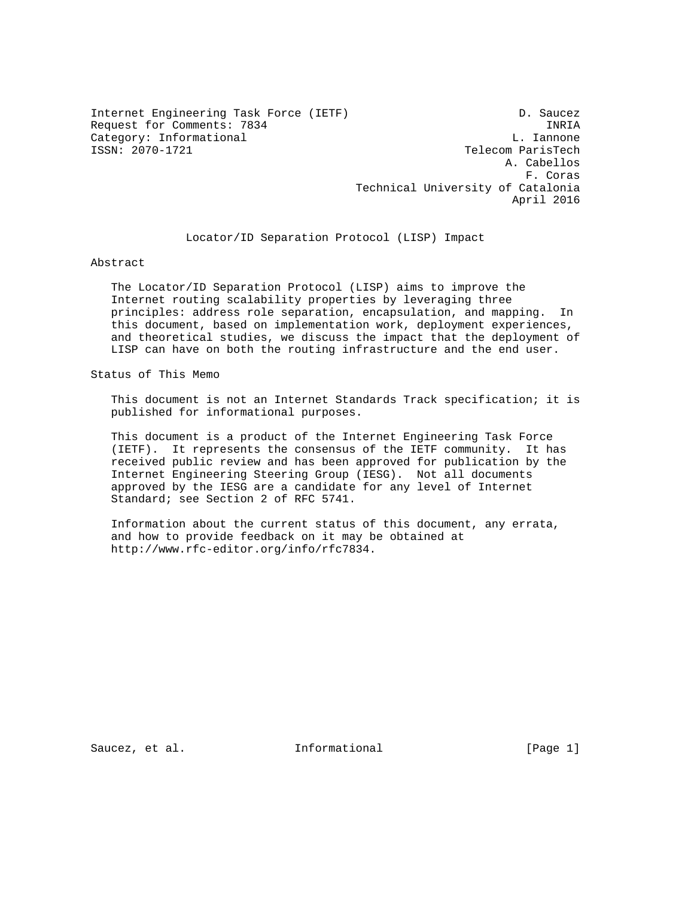Internet Engineering Task Force (IETF) D. Saucez Request for Comments: 7834 INRIA Category: Informational and L. Iannone<br>
ISSN: 2070-1721 CSSN: 2070-1721

Telecom ParisTech A. Cabellos F. Coras Technical University of Catalonia April 2016

Locator/ID Separation Protocol (LISP) Impact

#### Abstract

 The Locator/ID Separation Protocol (LISP) aims to improve the Internet routing scalability properties by leveraging three principles: address role separation, encapsulation, and mapping. In this document, based on implementation work, deployment experiences, and theoretical studies, we discuss the impact that the deployment of LISP can have on both the routing infrastructure and the end user.

#### Status of This Memo

 This document is not an Internet Standards Track specification; it is published for informational purposes.

 This document is a product of the Internet Engineering Task Force (IETF). It represents the consensus of the IETF community. It has received public review and has been approved for publication by the Internet Engineering Steering Group (IESG). Not all documents approved by the IESG are a candidate for any level of Internet Standard; see Section 2 of RFC 5741.

 Information about the current status of this document, any errata, and how to provide feedback on it may be obtained at http://www.rfc-editor.org/info/rfc7834.

Saucez, et al. Informational [Page 1]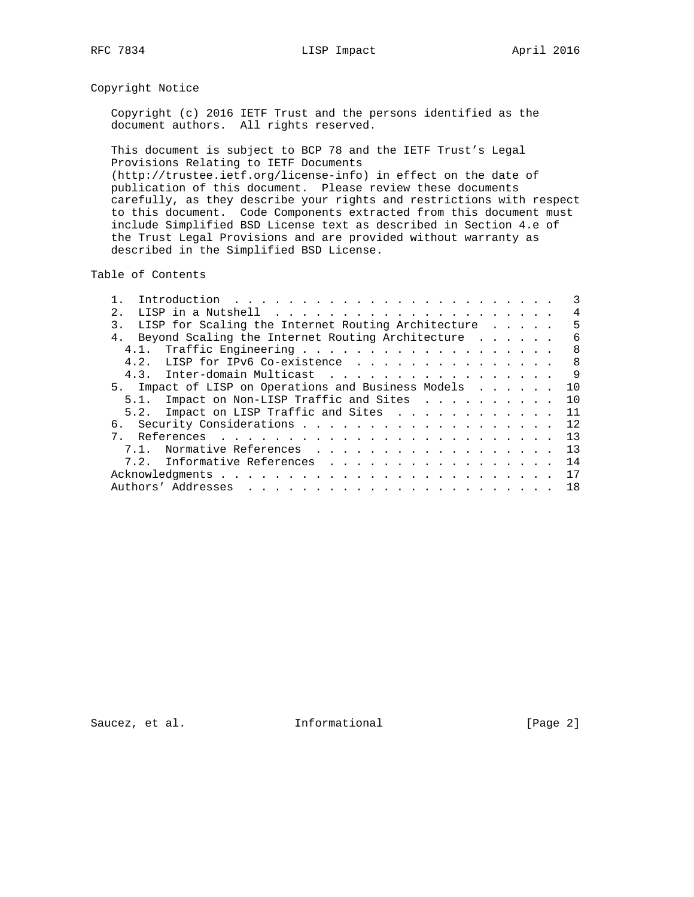## Copyright Notice

 Copyright (c) 2016 IETF Trust and the persons identified as the document authors. All rights reserved.

 This document is subject to BCP 78 and the IETF Trust's Legal Provisions Relating to IETF Documents (http://trustee.ietf.org/license-info) in effect on the date of publication of this document. Please review these documents carefully, as they describe your rights and restrictions with respect to this document. Code Components extracted from this document must include Simplified BSD License text as described in Section 4.e of the Trust Legal Provisions and are provided without warranty as described in the Simplified BSD License.

Table of Contents

| $2^{\circ}$                                                         | 4            |
|---------------------------------------------------------------------|--------------|
| LISP for Scaling the Internet Routing Architecture<br>$\mathcal{E}$ | 5            |
| Beyond Scaling the Internet Routing Architecture                    | 6            |
|                                                                     | - 8          |
| 4.2. LISP for IPv6 Co-existence                                     | - 8          |
| 4.3. Inter-domain Multicast                                         | $\mathsf{Q}$ |
| 5. Impact of LISP on Operations and Business Models                 | 10           |
| 5.1. Impact on Non-LISP Traffic and Sites                           | 10           |
| 5.2. Impact on LISP Traffic and Sites                               | 11           |
|                                                                     | 12           |
|                                                                     |              |
| Normative References 13<br>7.1.                                     |              |
| 7.2. Informative References 14                                      |              |
|                                                                     | 17           |
|                                                                     | 18           |

Saucez, et al. 1nformational [Page 2]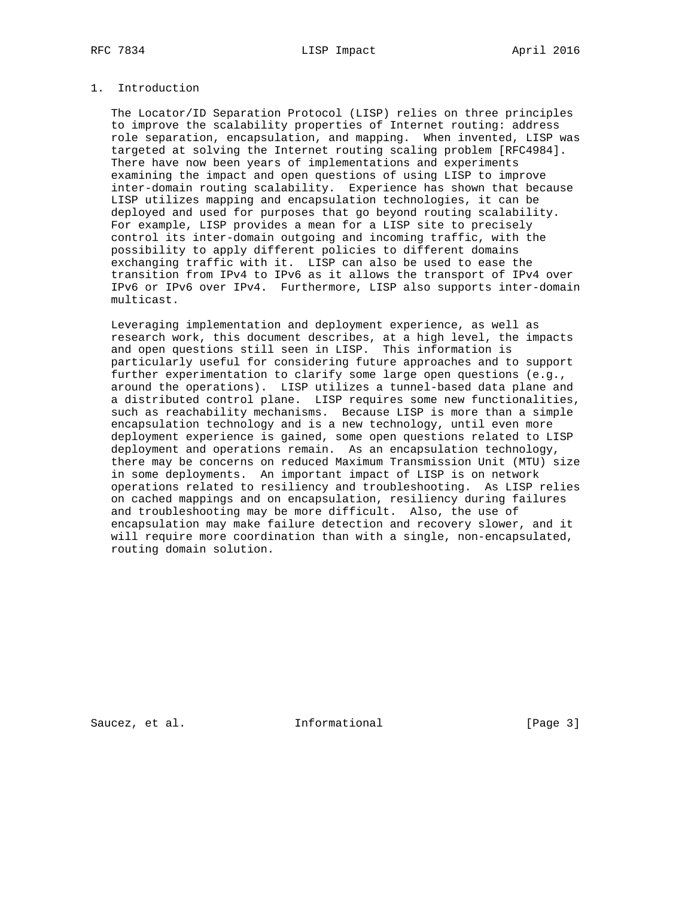# RFC 7834 LISP Impact April 2016

## 1. Introduction

 The Locator/ID Separation Protocol (LISP) relies on three principles to improve the scalability properties of Internet routing: address role separation, encapsulation, and mapping. When invented, LISP was targeted at solving the Internet routing scaling problem [RFC4984]. There have now been years of implementations and experiments examining the impact and open questions of using LISP to improve inter-domain routing scalability. Experience has shown that because LISP utilizes mapping and encapsulation technologies, it can be deployed and used for purposes that go beyond routing scalability. For example, LISP provides a mean for a LISP site to precisely control its inter-domain outgoing and incoming traffic, with the possibility to apply different policies to different domains exchanging traffic with it. LISP can also be used to ease the transition from IPv4 to IPv6 as it allows the transport of IPv4 over IPv6 or IPv6 over IPv4. Furthermore, LISP also supports inter-domain multicast.

 Leveraging implementation and deployment experience, as well as research work, this document describes, at a high level, the impacts and open questions still seen in LISP. This information is particularly useful for considering future approaches and to support further experimentation to clarify some large open questions (e.g., around the operations). LISP utilizes a tunnel-based data plane and a distributed control plane. LISP requires some new functionalities, such as reachability mechanisms. Because LISP is more than a simple encapsulation technology and is a new technology, until even more deployment experience is gained, some open questions related to LISP deployment and operations remain. As an encapsulation technology, there may be concerns on reduced Maximum Transmission Unit (MTU) size in some deployments. An important impact of LISP is on network operations related to resiliency and troubleshooting. As LISP relies on cached mappings and on encapsulation, resiliency during failures and troubleshooting may be more difficult. Also, the use of encapsulation may make failure detection and recovery slower, and it will require more coordination than with a single, non-encapsulated, routing domain solution.

Saucez, et al. 1nformational [Page 3]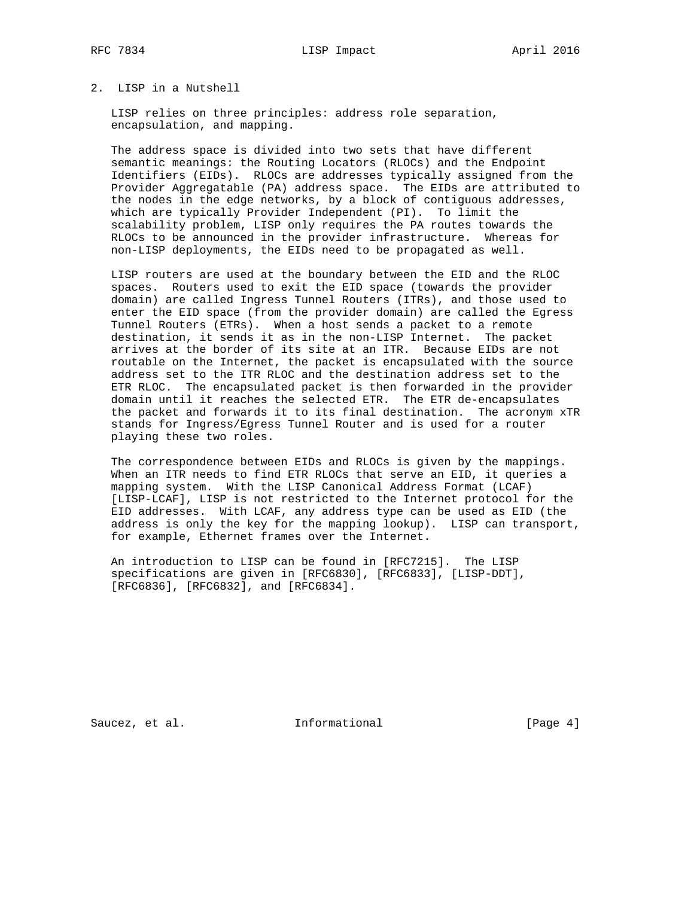### 2. LISP in a Nutshell

 LISP relies on three principles: address role separation, encapsulation, and mapping.

 The address space is divided into two sets that have different semantic meanings: the Routing Locators (RLOCs) and the Endpoint Identifiers (EIDs). RLOCs are addresses typically assigned from the Provider Aggregatable (PA) address space. The EIDs are attributed to the nodes in the edge networks, by a block of contiguous addresses, which are typically Provider Independent (PI). To limit the scalability problem, LISP only requires the PA routes towards the RLOCs to be announced in the provider infrastructure. Whereas for non-LISP deployments, the EIDs need to be propagated as well.

 LISP routers are used at the boundary between the EID and the RLOC spaces. Routers used to exit the EID space (towards the provider domain) are called Ingress Tunnel Routers (ITRs), and those used to enter the EID space (from the provider domain) are called the Egress Tunnel Routers (ETRs). When a host sends a packet to a remote destination, it sends it as in the non-LISP Internet. The packet arrives at the border of its site at an ITR. Because EIDs are not routable on the Internet, the packet is encapsulated with the source address set to the ITR RLOC and the destination address set to the ETR RLOC. The encapsulated packet is then forwarded in the provider domain until it reaches the selected ETR. The ETR de-encapsulates the packet and forwards it to its final destination. The acronym xTR stands for Ingress/Egress Tunnel Router and is used for a router playing these two roles.

 The correspondence between EIDs and RLOCs is given by the mappings. When an ITR needs to find ETR RLOCs that serve an EID, it queries a mapping system. With the LISP Canonical Address Format (LCAF) [LISP-LCAF], LISP is not restricted to the Internet protocol for the EID addresses. With LCAF, any address type can be used as EID (the address is only the key for the mapping lookup). LISP can transport, for example, Ethernet frames over the Internet.

 An introduction to LISP can be found in [RFC7215]. The LISP specifications are given in [RFC6830], [RFC6833], [LISP-DDT], [RFC6836], [RFC6832], and [RFC6834].

Saucez, et al. 1nformational [Page 4]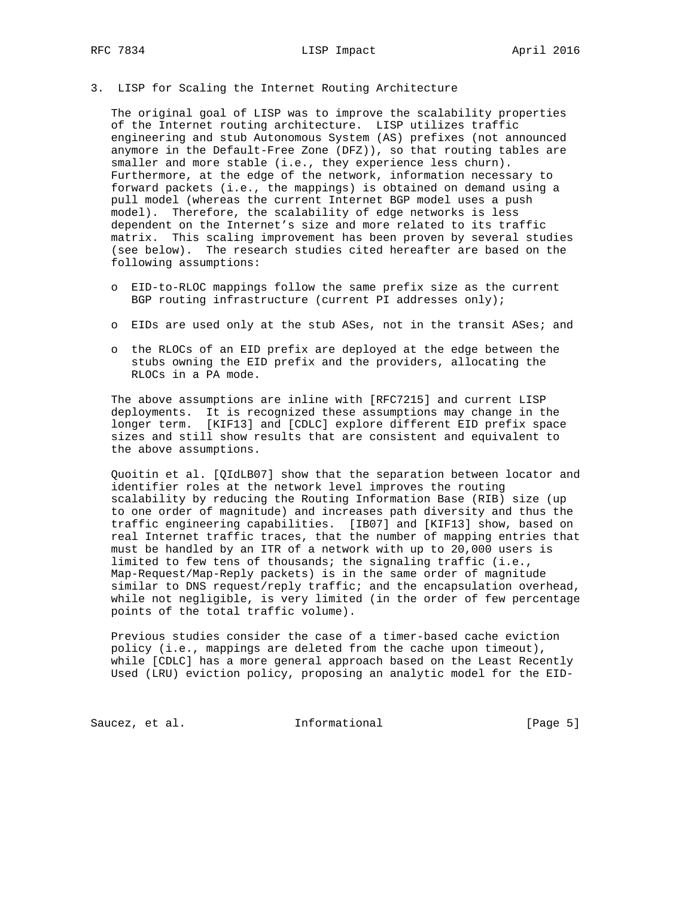3. LISP for Scaling the Internet Routing Architecture

 The original goal of LISP was to improve the scalability properties of the Internet routing architecture. LISP utilizes traffic engineering and stub Autonomous System (AS) prefixes (not announced anymore in the Default-Free Zone (DFZ)), so that routing tables are smaller and more stable (i.e., they experience less churn). Furthermore, at the edge of the network, information necessary to forward packets (i.e., the mappings) is obtained on demand using a pull model (whereas the current Internet BGP model uses a push model). Therefore, the scalability of edge networks is less dependent on the Internet's size and more related to its traffic matrix. This scaling improvement has been proven by several studies (see below). The research studies cited hereafter are based on the following assumptions:

- o EID-to-RLOC mappings follow the same prefix size as the current BGP routing infrastructure (current PI addresses only);
- o EIDs are used only at the stub ASes, not in the transit ASes; and
- o the RLOCs of an EID prefix are deployed at the edge between the stubs owning the EID prefix and the providers, allocating the RLOCs in a PA mode.

 The above assumptions are inline with [RFC7215] and current LISP deployments. It is recognized these assumptions may change in the longer term. [KIF13] and [CDLC] explore different EID prefix space sizes and still show results that are consistent and equivalent to the above assumptions.

 Quoitin et al. [QIdLB07] show that the separation between locator and identifier roles at the network level improves the routing scalability by reducing the Routing Information Base (RIB) size (up to one order of magnitude) and increases path diversity and thus the traffic engineering capabilities. [IB07] and [KIF13] show, based on real Internet traffic traces, that the number of mapping entries that must be handled by an ITR of a network with up to 20,000 users is limited to few tens of thousands; the signaling traffic (i.e., Map-Request/Map-Reply packets) is in the same order of magnitude similar to DNS request/reply traffic; and the encapsulation overhead, while not negligible, is very limited (in the order of few percentage points of the total traffic volume).

 Previous studies consider the case of a timer-based cache eviction policy (i.e., mappings are deleted from the cache upon timeout), while [CDLC] has a more general approach based on the Least Recently Used (LRU) eviction policy, proposing an analytic model for the EID-

Saucez, et al. 1nformational 1999 [Page 5]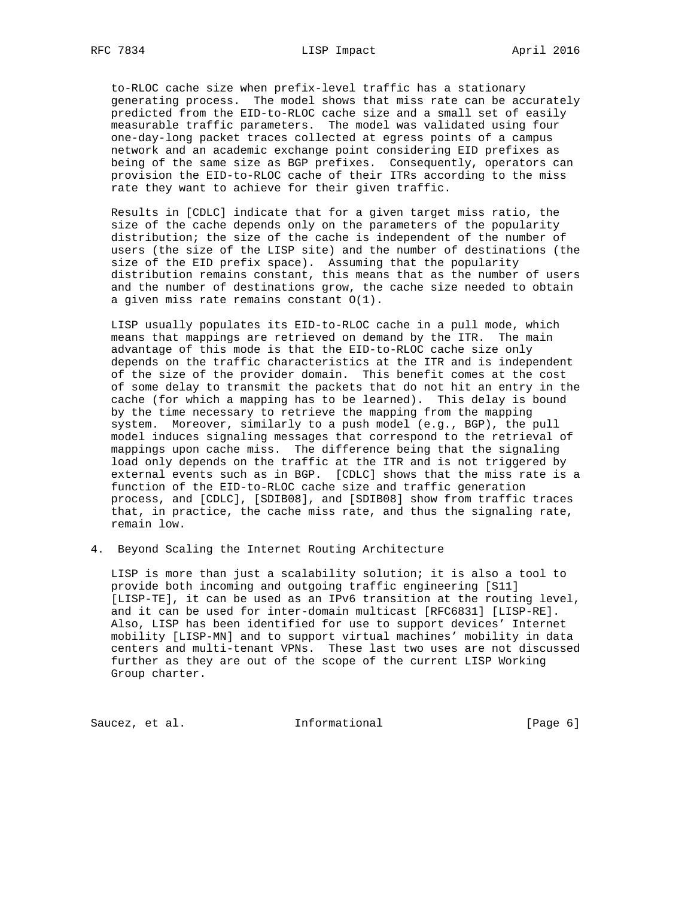to-RLOC cache size when prefix-level traffic has a stationary generating process. The model shows that miss rate can be accurately predicted from the EID-to-RLOC cache size and a small set of easily measurable traffic parameters. The model was validated using four one-day-long packet traces collected at egress points of a campus network and an academic exchange point considering EID prefixes as being of the same size as BGP prefixes. Consequently, operators can provision the EID-to-RLOC cache of their ITRs according to the miss rate they want to achieve for their given traffic.

 Results in [CDLC] indicate that for a given target miss ratio, the size of the cache depends only on the parameters of the popularity distribution; the size of the cache is independent of the number of users (the size of the LISP site) and the number of destinations (the size of the EID prefix space). Assuming that the popularity distribution remains constant, this means that as the number of users and the number of destinations grow, the cache size needed to obtain a given miss rate remains constant O(1).

 LISP usually populates its EID-to-RLOC cache in a pull mode, which means that mappings are retrieved on demand by the ITR. The main advantage of this mode is that the EID-to-RLOC cache size only depends on the traffic characteristics at the ITR and is independent of the size of the provider domain. This benefit comes at the cost of some delay to transmit the packets that do not hit an entry in the cache (for which a mapping has to be learned). This delay is bound by the time necessary to retrieve the mapping from the mapping system. Moreover, similarly to a push model (e.g., BGP), the pull model induces signaling messages that correspond to the retrieval of mappings upon cache miss. The difference being that the signaling load only depends on the traffic at the ITR and is not triggered by external events such as in BGP. [CDLC] shows that the miss rate is a function of the EID-to-RLOC cache size and traffic generation process, and [CDLC], [SDIB08], and [SDIB08] show from traffic traces that, in practice, the cache miss rate, and thus the signaling rate, remain low.

4. Beyond Scaling the Internet Routing Architecture

 LISP is more than just a scalability solution; it is also a tool to provide both incoming and outgoing traffic engineering [S11] [LISP-TE], it can be used as an IPv6 transition at the routing level, and it can be used for inter-domain multicast [RFC6831] [LISP-RE]. Also, LISP has been identified for use to support devices' Internet mobility [LISP-MN] and to support virtual machines' mobility in data centers and multi-tenant VPNs. These last two uses are not discussed further as they are out of the scope of the current LISP Working Group charter.

Saucez, et al. 1nformational [Page 6]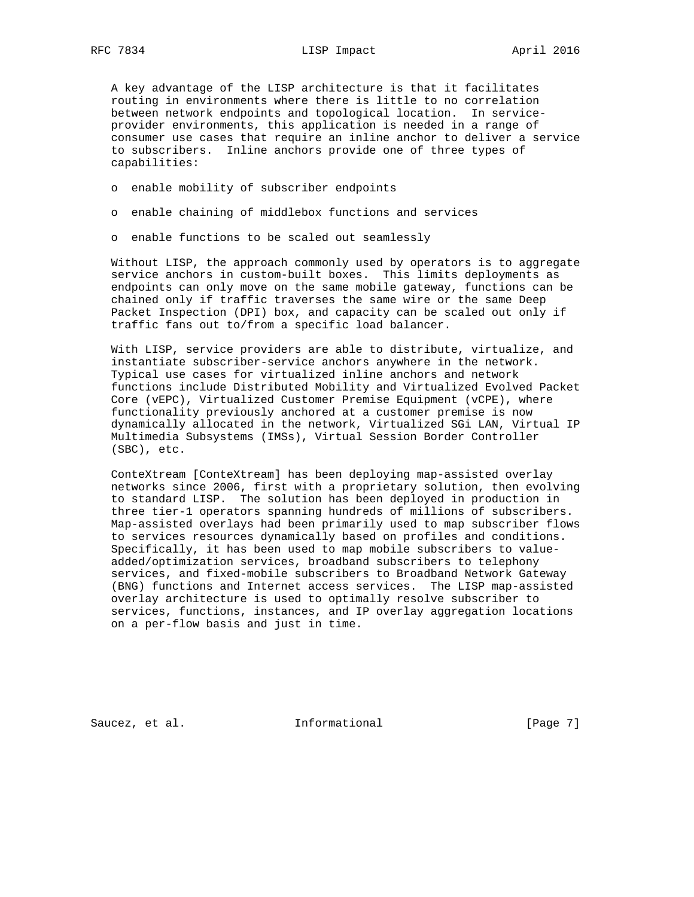A key advantage of the LISP architecture is that it facilitates routing in environments where there is little to no correlation between network endpoints and topological location. In service provider environments, this application is needed in a range of consumer use cases that require an inline anchor to deliver a service to subscribers. Inline anchors provide one of three types of capabilities:

- o enable mobility of subscriber endpoints
- o enable chaining of middlebox functions and services
- o enable functions to be scaled out seamlessly

 Without LISP, the approach commonly used by operators is to aggregate service anchors in custom-built boxes. This limits deployments as endpoints can only move on the same mobile gateway, functions can be chained only if traffic traverses the same wire or the same Deep Packet Inspection (DPI) box, and capacity can be scaled out only if traffic fans out to/from a specific load balancer.

 With LISP, service providers are able to distribute, virtualize, and instantiate subscriber-service anchors anywhere in the network. Typical use cases for virtualized inline anchors and network functions include Distributed Mobility and Virtualized Evolved Packet Core (vEPC), Virtualized Customer Premise Equipment (vCPE), where functionality previously anchored at a customer premise is now dynamically allocated in the network, Virtualized SGi LAN, Virtual IP Multimedia Subsystems (IMSs), Virtual Session Border Controller (SBC), etc.

 ConteXtream [ConteXtream] has been deploying map-assisted overlay networks since 2006, first with a proprietary solution, then evolving to standard LISP. The solution has been deployed in production in three tier-1 operators spanning hundreds of millions of subscribers. Map-assisted overlays had been primarily used to map subscriber flows to services resources dynamically based on profiles and conditions. Specifically, it has been used to map mobile subscribers to value added/optimization services, broadband subscribers to telephony services, and fixed-mobile subscribers to Broadband Network Gateway (BNG) functions and Internet access services. The LISP map-assisted overlay architecture is used to optimally resolve subscriber to services, functions, instances, and IP overlay aggregation locations on a per-flow basis and just in time.

Saucez, et al. 1nformational 1999 [Page 7]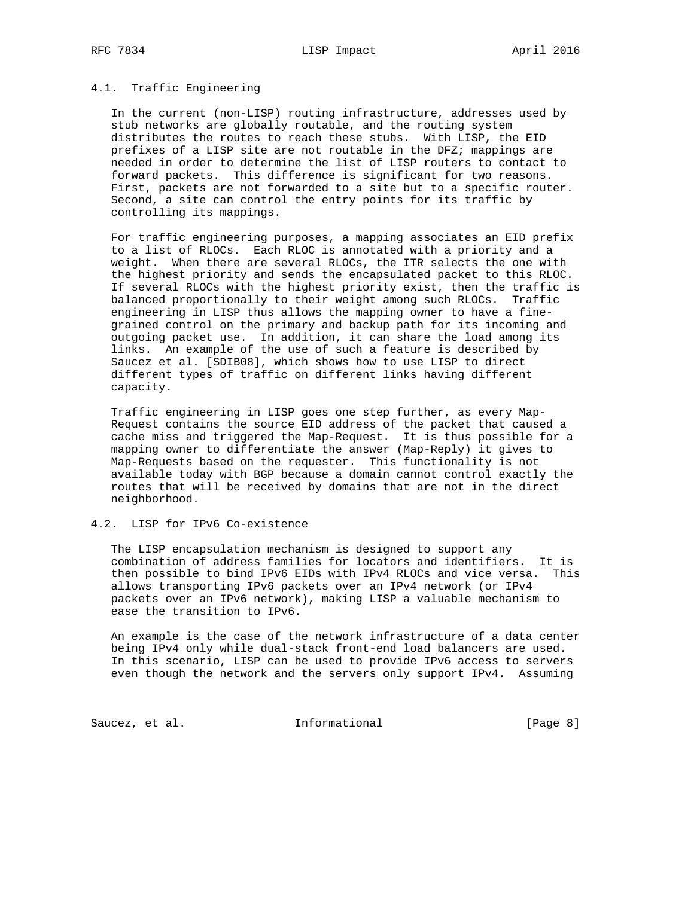## 4.1. Traffic Engineering

 In the current (non-LISP) routing infrastructure, addresses used by stub networks are globally routable, and the routing system distributes the routes to reach these stubs. With LISP, the EID prefixes of a LISP site are not routable in the DFZ; mappings are needed in order to determine the list of LISP routers to contact to forward packets. This difference is significant for two reasons. First, packets are not forwarded to a site but to a specific router. Second, a site can control the entry points for its traffic by controlling its mappings.

 For traffic engineering purposes, a mapping associates an EID prefix to a list of RLOCs. Each RLOC is annotated with a priority and a weight. When there are several RLOCs, the ITR selects the one with the highest priority and sends the encapsulated packet to this RLOC. If several RLOCs with the highest priority exist, then the traffic is balanced proportionally to their weight among such RLOCs. Traffic engineering in LISP thus allows the mapping owner to have a fine grained control on the primary and backup path for its incoming and outgoing packet use. In addition, it can share the load among its links. An example of the use of such a feature is described by Saucez et al. [SDIB08], which shows how to use LISP to direct different types of traffic on different links having different capacity.

 Traffic engineering in LISP goes one step further, as every Map- Request contains the source EID address of the packet that caused a cache miss and triggered the Map-Request. It is thus possible for a mapping owner to differentiate the answer (Map-Reply) it gives to Map-Requests based on the requester. This functionality is not available today with BGP because a domain cannot control exactly the routes that will be received by domains that are not in the direct neighborhood.

#### 4.2. LISP for IPv6 Co-existence

 The LISP encapsulation mechanism is designed to support any combination of address families for locators and identifiers. It is then possible to bind IPv6 EIDs with IPv4 RLOCs and vice versa. This allows transporting IPv6 packets over an IPv4 network (or IPv4 packets over an IPv6 network), making LISP a valuable mechanism to ease the transition to IPv6.

 An example is the case of the network infrastructure of a data center being IPv4 only while dual-stack front-end load balancers are used. In this scenario, LISP can be used to provide IPv6 access to servers even though the network and the servers only support IPv4. Assuming

Saucez, et al. 1nformational [Page 8]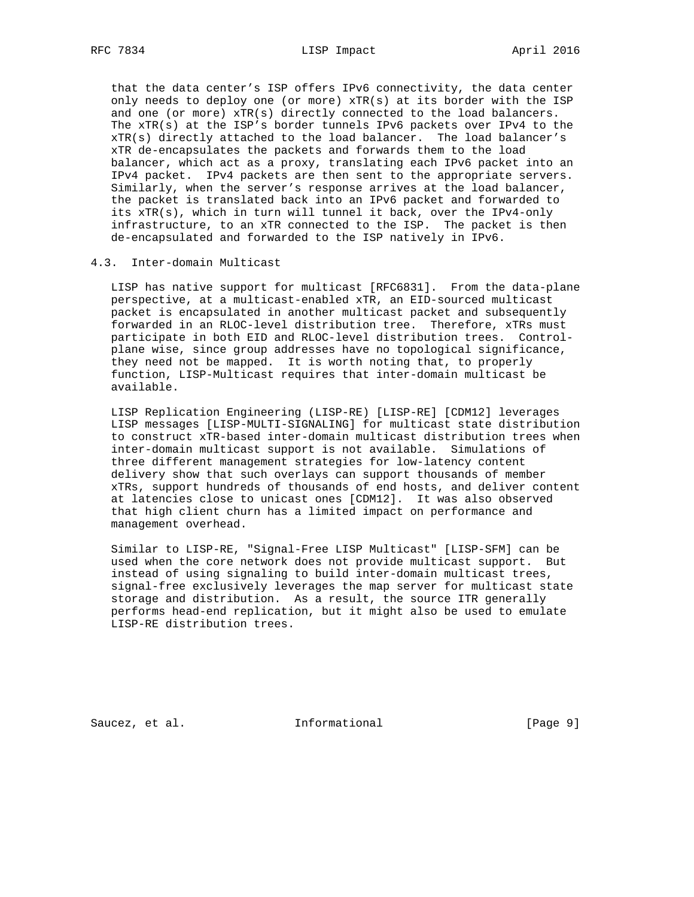that the data center's ISP offers IPv6 connectivity, the data center only needs to deploy one (or more) xTR(s) at its border with the ISP and one (or more) xTR(s) directly connected to the load balancers. The xTR(s) at the ISP's border tunnels IPv6 packets over IPv4 to the xTR(s) directly attached to the load balancer. The load balancer's xTR de-encapsulates the packets and forwards them to the load balancer, which act as a proxy, translating each IPv6 packet into an IPv4 packet. IPv4 packets are then sent to the appropriate servers. Similarly, when the server's response arrives at the load balancer, the packet is translated back into an IPv6 packet and forwarded to its xTR(s), which in turn will tunnel it back, over the IPv4-only infrastructure, to an xTR connected to the ISP. The packet is then de-encapsulated and forwarded to the ISP natively in IPv6.

#### 4.3. Inter-domain Multicast

 LISP has native support for multicast [RFC6831]. From the data-plane perspective, at a multicast-enabled xTR, an EID-sourced multicast packet is encapsulated in another multicast packet and subsequently forwarded in an RLOC-level distribution tree. Therefore, xTRs must participate in both EID and RLOC-level distribution trees. Control plane wise, since group addresses have no topological significance, they need not be mapped. It is worth noting that, to properly function, LISP-Multicast requires that inter-domain multicast be available.

 LISP Replication Engineering (LISP-RE) [LISP-RE] [CDM12] leverages LISP messages [LISP-MULTI-SIGNALING] for multicast state distribution to construct xTR-based inter-domain multicast distribution trees when inter-domain multicast support is not available. Simulations of three different management strategies for low-latency content delivery show that such overlays can support thousands of member xTRs, support hundreds of thousands of end hosts, and deliver content at latencies close to unicast ones [CDM12]. It was also observed that high client churn has a limited impact on performance and management overhead.

 Similar to LISP-RE, "Signal-Free LISP Multicast" [LISP-SFM] can be used when the core network does not provide multicast support. But instead of using signaling to build inter-domain multicast trees, signal-free exclusively leverages the map server for multicast state storage and distribution. As a result, the source ITR generally performs head-end replication, but it might also be used to emulate LISP-RE distribution trees.

Saucez, et al. 1nformational [Page 9]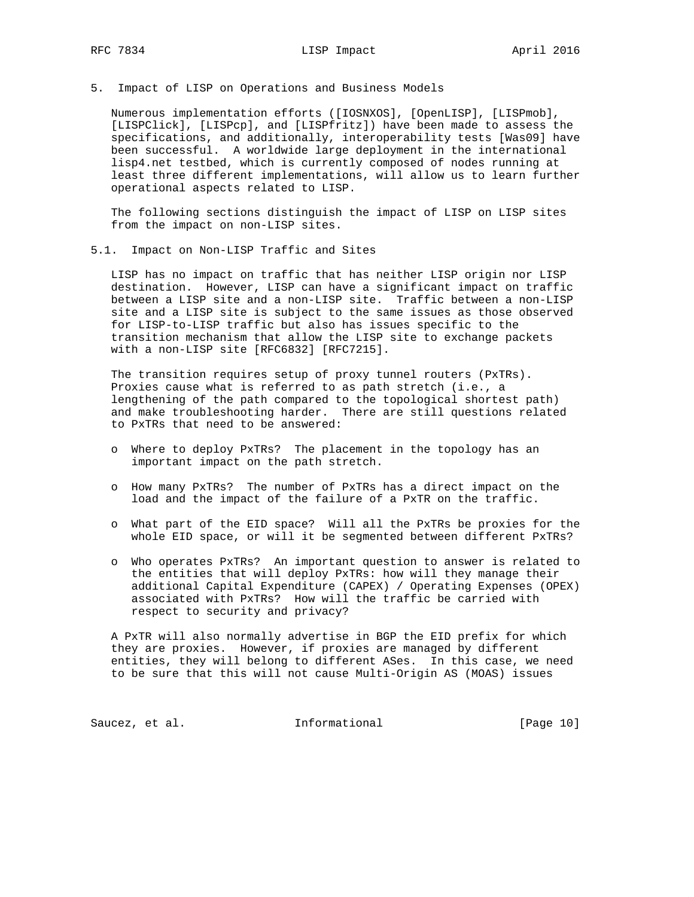5. Impact of LISP on Operations and Business Models

 Numerous implementation efforts ([IOSNXOS], [OpenLISP], [LISPmob], [LISPClick], [LISPcp], and [LISPfritz]) have been made to assess the specifications, and additionally, interoperability tests [Was09] have been successful. A worldwide large deployment in the international lisp4.net testbed, which is currently composed of nodes running at least three different implementations, will allow us to learn further operational aspects related to LISP.

 The following sections distinguish the impact of LISP on LISP sites from the impact on non-LISP sites.

5.1. Impact on Non-LISP Traffic and Sites

 LISP has no impact on traffic that has neither LISP origin nor LISP destination. However, LISP can have a significant impact on traffic between a LISP site and a non-LISP site. Traffic between a non-LISP site and a LISP site is subject to the same issues as those observed for LISP-to-LISP traffic but also has issues specific to the transition mechanism that allow the LISP site to exchange packets with a non-LISP site [RFC6832] [RFC7215].

 The transition requires setup of proxy tunnel routers (PxTRs). Proxies cause what is referred to as path stretch (i.e., a lengthening of the path compared to the topological shortest path) and make troubleshooting harder. There are still questions related to PxTRs that need to be answered:

- o Where to deploy PxTRs? The placement in the topology has an important impact on the path stretch.
- o How many PxTRs? The number of PxTRs has a direct impact on the load and the impact of the failure of a PxTR on the traffic.
- o What part of the EID space? Will all the PxTRs be proxies for the whole EID space, or will it be segmented between different PxTRs?
- o Who operates PxTRs? An important question to answer is related to the entities that will deploy PxTRs: how will they manage their additional Capital Expenditure (CAPEX) / Operating Expenses (OPEX) associated with PxTRs? How will the traffic be carried with respect to security and privacy?

 A PxTR will also normally advertise in BGP the EID prefix for which they are proxies. However, if proxies are managed by different entities, they will belong to different ASes. In this case, we need to be sure that this will not cause Multi-Origin AS (MOAS) issues

Saucez, et al. 1nformational [Page 10]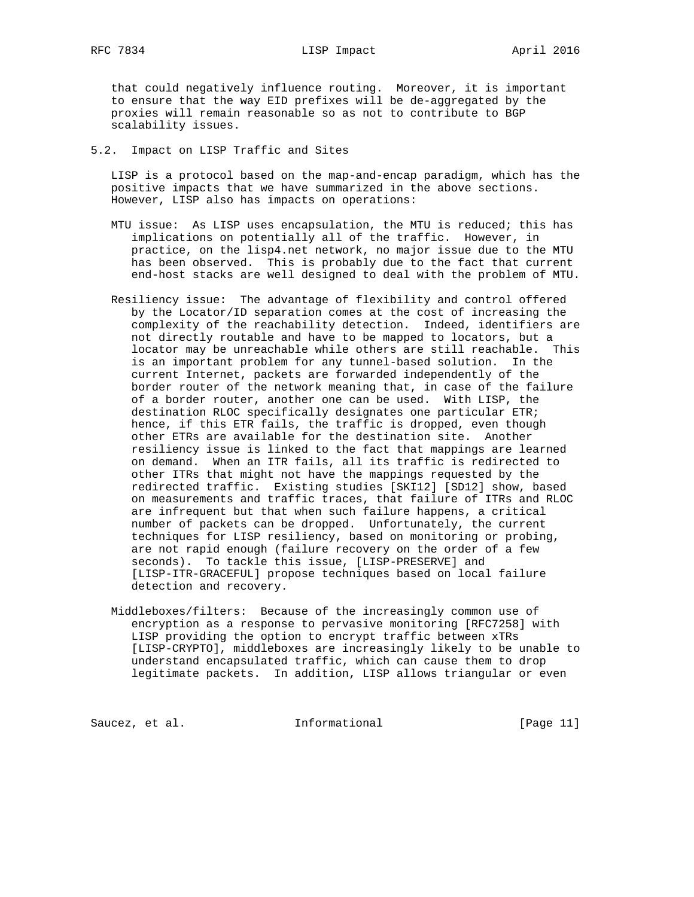that could negatively influence routing. Moreover, it is important to ensure that the way EID prefixes will be de-aggregated by the proxies will remain reasonable so as not to contribute to BGP scalability issues.

5.2. Impact on LISP Traffic and Sites

 LISP is a protocol based on the map-and-encap paradigm, which has the positive impacts that we have summarized in the above sections. However, LISP also has impacts on operations:

- MTU issue: As LISP uses encapsulation, the MTU is reduced; this has implications on potentially all of the traffic. However, in practice, on the lisp4.net network, no major issue due to the MTU has been observed. This is probably due to the fact that current end-host stacks are well designed to deal with the problem of MTU.
- Resiliency issue: The advantage of flexibility and control offered by the Locator/ID separation comes at the cost of increasing the complexity of the reachability detection. Indeed, identifiers are not directly routable and have to be mapped to locators, but a locator may be unreachable while others are still reachable. This is an important problem for any tunnel-based solution. In the current Internet, packets are forwarded independently of the border router of the network meaning that, in case of the failure of a border router, another one can be used. With LISP, the destination RLOC specifically designates one particular ETR; hence, if this ETR fails, the traffic is dropped, even though other ETRs are available for the destination site. Another resiliency issue is linked to the fact that mappings are learned on demand. When an ITR fails, all its traffic is redirected to other ITRs that might not have the mappings requested by the redirected traffic. Existing studies [SKI12] [SD12] show, based on measurements and traffic traces, that failure of ITRs and RLOC are infrequent but that when such failure happens, a critical number of packets can be dropped. Unfortunately, the current techniques for LISP resiliency, based on monitoring or probing, are not rapid enough (failure recovery on the order of a few seconds). To tackle this issue, [LISP-PRESERVE] and [LISP-ITR-GRACEFUL] propose techniques based on local failure detection and recovery.
- Middleboxes/filters: Because of the increasingly common use of encryption as a response to pervasive monitoring [RFC7258] with LISP providing the option to encrypt traffic between xTRs [LISP-CRYPTO], middleboxes are increasingly likely to be unable to understand encapsulated traffic, which can cause them to drop legitimate packets. In addition, LISP allows triangular or even

Saucez, et al. 1nformational [Page 11]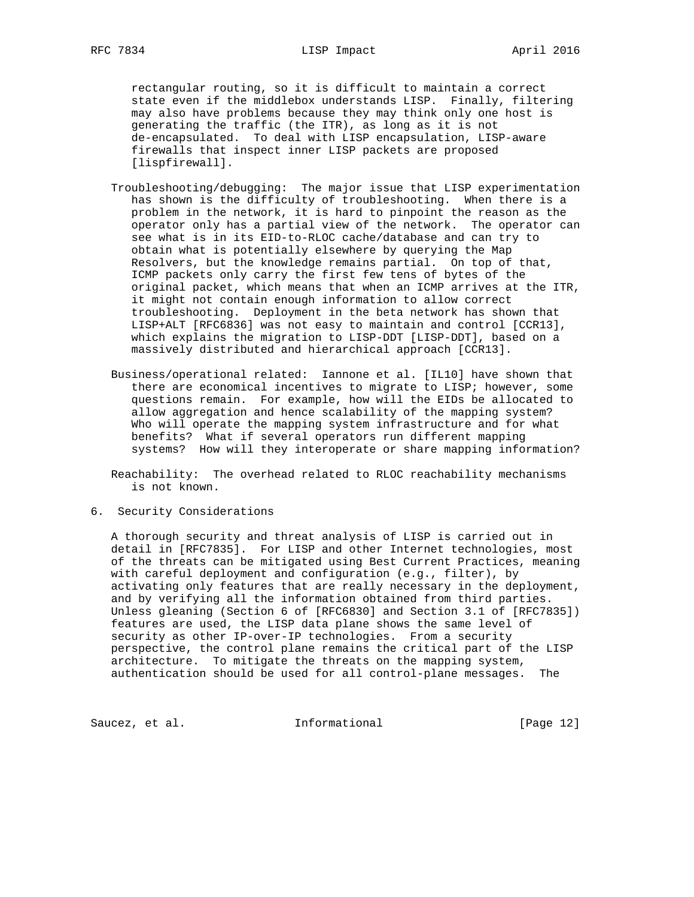rectangular routing, so it is difficult to maintain a correct state even if the middlebox understands LISP. Finally, filtering may also have problems because they may think only one host is generating the traffic (the ITR), as long as it is not de-encapsulated. To deal with LISP encapsulation, LISP-aware firewalls that inspect inner LISP packets are proposed [lispfirewall].

- Troubleshooting/debugging: The major issue that LISP experimentation has shown is the difficulty of troubleshooting. When there is a problem in the network, it is hard to pinpoint the reason as the operator only has a partial view of the network. The operator can see what is in its EID-to-RLOC cache/database and can try to obtain what is potentially elsewhere by querying the Map Resolvers, but the knowledge remains partial. On top of that, ICMP packets only carry the first few tens of bytes of the original packet, which means that when an ICMP arrives at the ITR, it might not contain enough information to allow correct troubleshooting. Deployment in the beta network has shown that LISP+ALT [RFC6836] was not easy to maintain and control [CCR13], which explains the migration to LISP-DDT [LISP-DDT], based on a massively distributed and hierarchical approach [CCR13].
- Business/operational related: Iannone et al. [IL10] have shown that there are economical incentives to migrate to LISP; however, some questions remain. For example, how will the EIDs be allocated to allow aggregation and hence scalability of the mapping system? Who will operate the mapping system infrastructure and for what benefits? What if several operators run different mapping systems? How will they interoperate or share mapping information?

 Reachability: The overhead related to RLOC reachability mechanisms is not known.

6. Security Considerations

 A thorough security and threat analysis of LISP is carried out in detail in [RFC7835]. For LISP and other Internet technologies, most of the threats can be mitigated using Best Current Practices, meaning with careful deployment and configuration (e.g., filter), by activating only features that are really necessary in the deployment, and by verifying all the information obtained from third parties. Unless gleaning (Section 6 of [RFC6830] and Section 3.1 of [RFC7835]) features are used, the LISP data plane shows the same level of security as other IP-over-IP technologies. From a security perspective, the control plane remains the critical part of the LISP architecture. To mitigate the threats on the mapping system, authentication should be used for all control-plane messages. The

Saucez, et al. 1nformational [Page 12]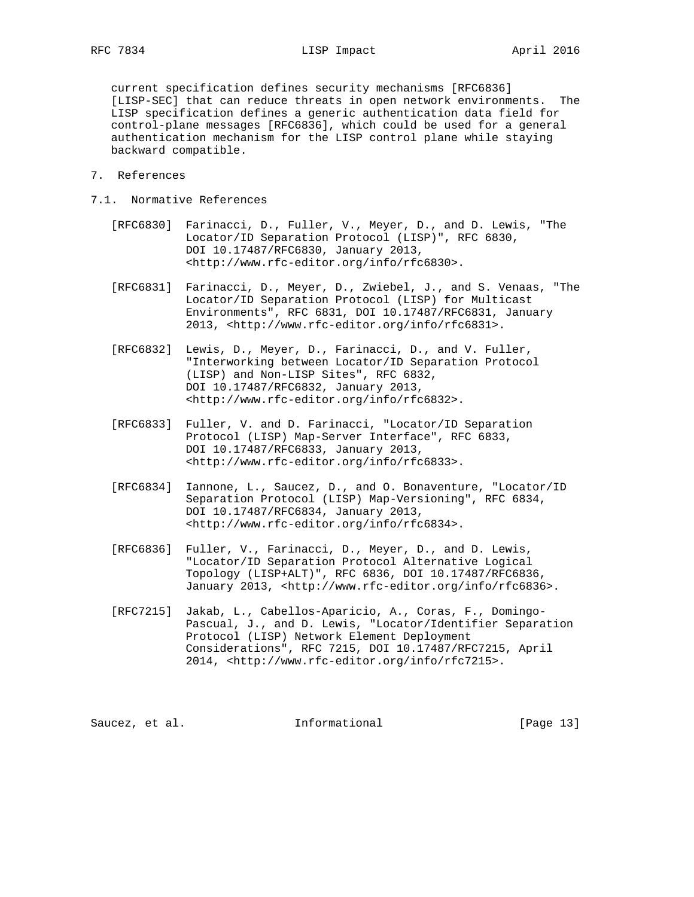current specification defines security mechanisms [RFC6836] [LISP-SEC] that can reduce threats in open network environments. The LISP specification defines a generic authentication data field for control-plane messages [RFC6836], which could be used for a general authentication mechanism for the LISP control plane while staying backward compatible.

- 7. References
- 7.1. Normative References
	- [RFC6830] Farinacci, D., Fuller, V., Meyer, D., and D. Lewis, "The Locator/ID Separation Protocol (LISP)", RFC 6830, DOI 10.17487/RFC6830, January 2013, <http://www.rfc-editor.org/info/rfc6830>.
	- [RFC6831] Farinacci, D., Meyer, D., Zwiebel, J., and S. Venaas, "The Locator/ID Separation Protocol (LISP) for Multicast Environments", RFC 6831, DOI 10.17487/RFC6831, January 2013, <http://www.rfc-editor.org/info/rfc6831>.
	- [RFC6832] Lewis, D., Meyer, D., Farinacci, D., and V. Fuller, "Interworking between Locator/ID Separation Protocol (LISP) and Non-LISP Sites", RFC 6832, DOI 10.17487/RFC6832, January 2013, <http://www.rfc-editor.org/info/rfc6832>.
	- [RFC6833] Fuller, V. and D. Farinacci, "Locator/ID Separation Protocol (LISP) Map-Server Interface", RFC 6833, DOI 10.17487/RFC6833, January 2013, <http://www.rfc-editor.org/info/rfc6833>.
	- [RFC6834] Iannone, L., Saucez, D., and O. Bonaventure, "Locator/ID Separation Protocol (LISP) Map-Versioning", RFC 6834, DOI 10.17487/RFC6834, January 2013, <http://www.rfc-editor.org/info/rfc6834>.
	- [RFC6836] Fuller, V., Farinacci, D., Meyer, D., and D. Lewis, "Locator/ID Separation Protocol Alternative Logical Topology (LISP+ALT)", RFC 6836, DOI 10.17487/RFC6836, January 2013, <http://www.rfc-editor.org/info/rfc6836>.
	- [RFC7215] Jakab, L., Cabellos-Aparicio, A., Coras, F., Domingo- Pascual, J., and D. Lewis, "Locator/Identifier Separation Protocol (LISP) Network Element Deployment Considerations", RFC 7215, DOI 10.17487/RFC7215, April 2014, <http://www.rfc-editor.org/info/rfc7215>.

Saucez, et al. 100 mm = Informational [Page 13]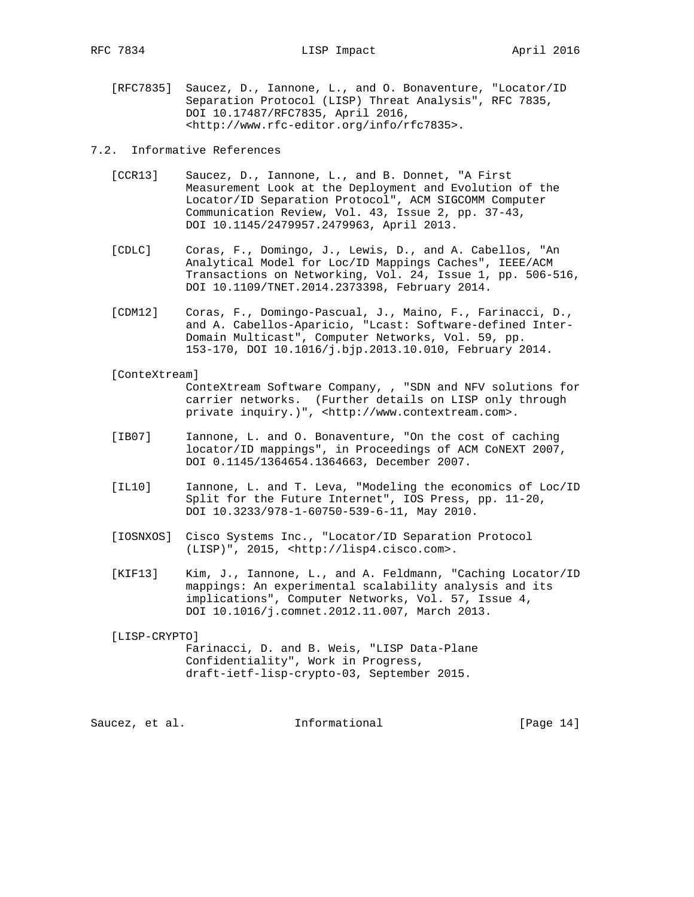[RFC7835] Saucez, D., Iannone, L., and O. Bonaventure, "Locator/ID Separation Protocol (LISP) Threat Analysis", RFC 7835, DOI 10.17487/RFC7835, April 2016, <http://www.rfc-editor.org/info/rfc7835>.

#### 7.2. Informative References

- [CCR13] Saucez, D., Iannone, L., and B. Donnet, "A First Measurement Look at the Deployment and Evolution of the Locator/ID Separation Protocol", ACM SIGCOMM Computer Communication Review, Vol. 43, Issue 2, pp. 37-43, DOI 10.1145/2479957.2479963, April 2013.
- [CDLC] Coras, F., Domingo, J., Lewis, D., and A. Cabellos, "An Analytical Model for Loc/ID Mappings Caches", IEEE/ACM Transactions on Networking, Vol. 24, Issue 1, pp. 506-516, DOI 10.1109/TNET.2014.2373398, February 2014.
- [CDM12] Coras, F., Domingo-Pascual, J., Maino, F., Farinacci, D., and A. Cabellos-Aparicio, "Lcast: Software-defined Inter- Domain Multicast", Computer Networks, Vol. 59, pp. 153-170, DOI 10.1016/j.bjp.2013.10.010, February 2014.
- [ConteXtream]

 ConteXtream Software Company, , "SDN and NFV solutions for carrier networks. (Further details on LISP only through private inquiry.)", <http://www.contextream.com>.

- [IB07] Iannone, L. and O. Bonaventure, "On the cost of caching locator/ID mappings", in Proceedings of ACM CoNEXT 2007, DOI 0.1145/1364654.1364663, December 2007.
- [IL10] Iannone, L. and T. Leva, "Modeling the economics of Loc/ID Split for the Future Internet", IOS Press, pp. 11-20, DOI 10.3233/978-1-60750-539-6-11, May 2010.
- [IOSNXOS] Cisco Systems Inc., "Locator/ID Separation Protocol (LISP)", 2015, <http://lisp4.cisco.com>.
- [KIF13] Kim, J., Iannone, L., and A. Feldmann, "Caching Locator/ID mappings: An experimental scalability analysis and its implications", Computer Networks, Vol. 57, Issue 4, DOI 10.1016/j.comnet.2012.11.007, March 2013.

[LISP-CRYPTO]

 Farinacci, D. and B. Weis, "LISP Data-Plane Confidentiality", Work in Progress, draft-ietf-lisp-crypto-03, September 2015.

Saucez, et al. 10 Informational [Page 14]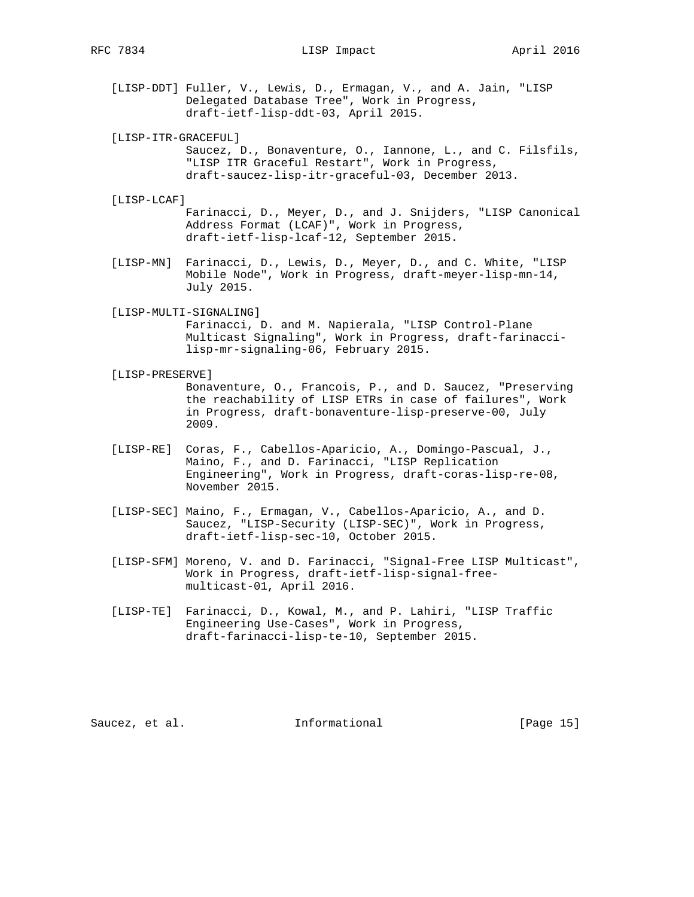[LISP-DDT] Fuller, V., Lewis, D., Ermagan, V., and A. Jain, "LISP Delegated Database Tree", Work in Progress, draft-ietf-lisp-ddt-03, April 2015.

[LISP-ITR-GRACEFUL]

 Saucez, D., Bonaventure, O., Iannone, L., and C. Filsfils, "LISP ITR Graceful Restart", Work in Progress, draft-saucez-lisp-itr-graceful-03, December 2013.

#### [LISP-LCAF]

 Farinacci, D., Meyer, D., and J. Snijders, "LISP Canonical Address Format (LCAF)", Work in Progress, draft-ietf-lisp-lcaf-12, September 2015.

- [LISP-MN] Farinacci, D., Lewis, D., Meyer, D., and C. White, "LISP Mobile Node", Work in Progress, draft-meyer-lisp-mn-14, July 2015.
- [LISP-MULTI-SIGNALING] Farinacci, D. and M. Napierala, "LISP Control-Plane Multicast Signaling", Work in Progress, draft-farinacci lisp-mr-signaling-06, February 2015.
- [LISP-PRESERVE]

 Bonaventure, O., Francois, P., and D. Saucez, "Preserving the reachability of LISP ETRs in case of failures", Work in Progress, draft-bonaventure-lisp-preserve-00, July 2009.

- [LISP-RE] Coras, F., Cabellos-Aparicio, A., Domingo-Pascual, J., Maino, F., and D. Farinacci, "LISP Replication Engineering", Work in Progress, draft-coras-lisp-re-08, November 2015.
- [LISP-SEC] Maino, F., Ermagan, V., Cabellos-Aparicio, A., and D. Saucez, "LISP-Security (LISP-SEC)", Work in Progress, draft-ietf-lisp-sec-10, October 2015.
- [LISP-SFM] Moreno, V. and D. Farinacci, "Signal-Free LISP Multicast", Work in Progress, draft-ietf-lisp-signal-free multicast-01, April 2016.
- [LISP-TE] Farinacci, D., Kowal, M., and P. Lahiri, "LISP Traffic Engineering Use-Cases", Work in Progress, draft-farinacci-lisp-te-10, September 2015.

Saucez, et al. 100 mm = Informational [Page 15]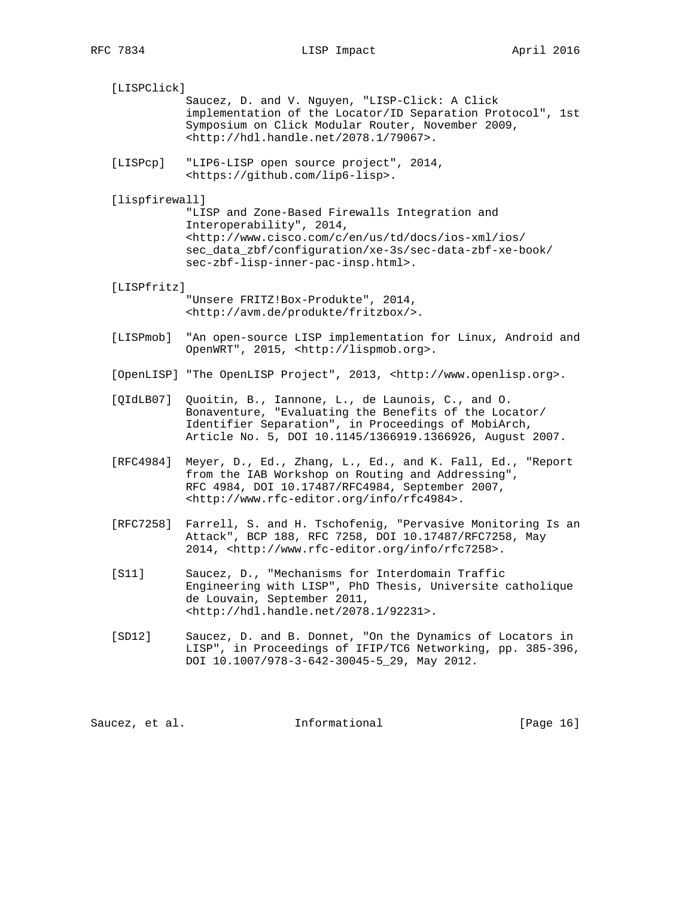[LISPClick] Saucez, D. and V. Nguyen, "LISP-Click: A Click implementation of the Locator/ID Separation Protocol", 1st Symposium on Click Modular Router, November 2009, <http://hdl.handle.net/2078.1/79067>. [LISPcp] "LIP6-LISP open source project", 2014, <https://github.com/lip6-lisp>. [lispfirewall] "LISP and Zone-Based Firewalls Integration and Interoperability", 2014, <http://www.cisco.com/c/en/us/td/docs/ios-xml/ios/ sec\_data\_zbf/configuration/xe-3s/sec-data-zbf-xe-book/ sec-zbf-lisp-inner-pac-insp.html>. [LISPfritz] "Unsere FRITZ!Box-Produkte", 2014, <http://avm.de/produkte/fritzbox/>. [LISPmob] "An open-source LISP implementation for Linux, Android and OpenWRT", 2015, <http://lispmob.org>. [OpenLISP] "The OpenLISP Project", 2013, <http://www.openlisp.org>. [QIdLB07] Quoitin, B., Iannone, L., de Launois, C., and O. Bonaventure, "Evaluating the Benefits of the Locator/ Identifier Separation", in Proceedings of MobiArch, Article No. 5, DOI 10.1145/1366919.1366926, August 2007. [RFC4984] Meyer, D., Ed., Zhang, L., Ed., and K. Fall, Ed., "Report from the IAB Workshop on Routing and Addressing", RFC 4984, DOI 10.17487/RFC4984, September 2007, <http://www.rfc-editor.org/info/rfc4984>.

- [RFC7258] Farrell, S. and H. Tschofenig, "Pervasive Monitoring Is an Attack", BCP 188, RFC 7258, DOI 10.17487/RFC7258, May 2014, <http://www.rfc-editor.org/info/rfc7258>.
- [S11] Saucez, D., "Mechanisms for Interdomain Traffic Engineering with LISP", PhD Thesis, Universite catholique de Louvain, September 2011, <http://hdl.handle.net/2078.1/92231>.
- [SD12] Saucez, D. and B. Donnet, "On the Dynamics of Locators in LISP", in Proceedings of IFIP/TC6 Networking, pp. 385-396, DOI 10.1007/978-3-642-30045-5\_29, May 2012.

Saucez, et al. 10 Informational [Page 16]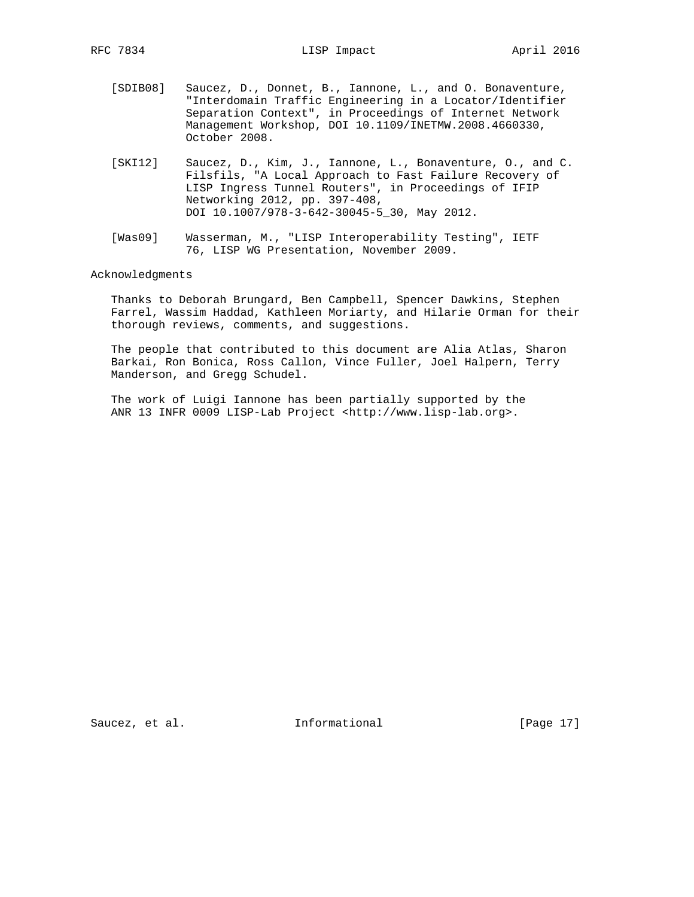- [SDIB08] Saucez, D., Donnet, B., Iannone, L., and O. Bonaventure, "Interdomain Traffic Engineering in a Locator/Identifier Separation Context", in Proceedings of Internet Network Management Workshop, DOI 10.1109/INETMW.2008.4660330, October 2008.
- [SKI12] Saucez, D., Kim, J., Iannone, L., Bonaventure, O., and C. Filsfils, "A Local Approach to Fast Failure Recovery of LISP Ingress Tunnel Routers", in Proceedings of IFIP Networking 2012, pp. 397-408, DOI 10.1007/978-3-642-30045-5\_30, May 2012.
- [Was09] Wasserman, M., "LISP Interoperability Testing", IETF 76, LISP WG Presentation, November 2009.

#### Acknowledgments

 Thanks to Deborah Brungard, Ben Campbell, Spencer Dawkins, Stephen Farrel, Wassim Haddad, Kathleen Moriarty, and Hilarie Orman for their thorough reviews, comments, and suggestions.

 The people that contributed to this document are Alia Atlas, Sharon Barkai, Ron Bonica, Ross Callon, Vince Fuller, Joel Halpern, Terry Manderson, and Gregg Schudel.

 The work of Luigi Iannone has been partially supported by the ANR 13 INFR 0009 LISP-Lab Project <http://www.lisp-lab.org>.

Saucez, et al. 1nformational [Page 17]